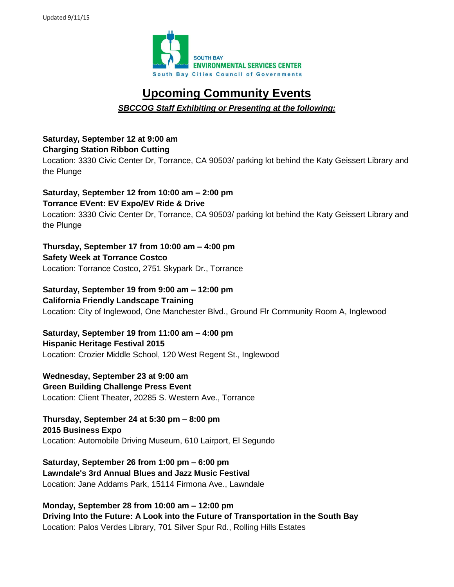

# **Upcoming Community Events**

#### *SBCCOG Staff Exhibiting or Presenting at the following:*

## **Saturday, September 12 at 9:00 am**

**Charging Station Ribbon Cutting**

Location: 3330 Civic Center Dr, Torrance, CA 90503/ parking lot behind the Katy Geissert Library and the Plunge

#### **Saturday, September 12 from 10:00 am – 2:00 pm Torrance EVent: EV Expo/EV Ride & Drive**

Location: 3330 Civic Center Dr, Torrance, CA 90503/ parking lot behind the Katy Geissert Library and the Plunge

### **Thursday, September 17 from 10:00 am – 4:00 pm**

#### **Safety Week at Torrance Costco**

Location: Torrance Costco, 2751 Skypark Dr., Torrance

**Saturday, September 19 from 9:00 am – 12:00 pm California Friendly Landscape Training**

Location: City of Inglewood, One Manchester Blvd., Ground Flr Community Room A, Inglewood

**Saturday, September 19 from 11:00 am – 4:00 pm Hispanic Heritage Festival 2015** Location: Crozier Middle School, 120 West Regent St., Inglewood

**Wednesday, September 23 at 9:00 am Green Building Challenge Press Event** Location: Client Theater, 20285 S. Western Ave., Torrance

**Thursday, September 24 at 5:30 pm – 8:00 pm 2015 Business Expo** Location: Automobile Driving Museum, 610 Lairport, El Segundo

**Saturday, September 26 from 1:00 pm – 6:00 pm Lawndale's 3rd Annual Blues and Jazz Music Festival** Location: Jane Addams Park, 15114 Firmona Ave., Lawndale

**Monday, September 28 from 10:00 am – 12:00 pm Driving Into the Future: A Look into the Future of Transportation in the South Bay** Location: Palos Verdes Library, 701 Silver Spur Rd., Rolling Hills Estates